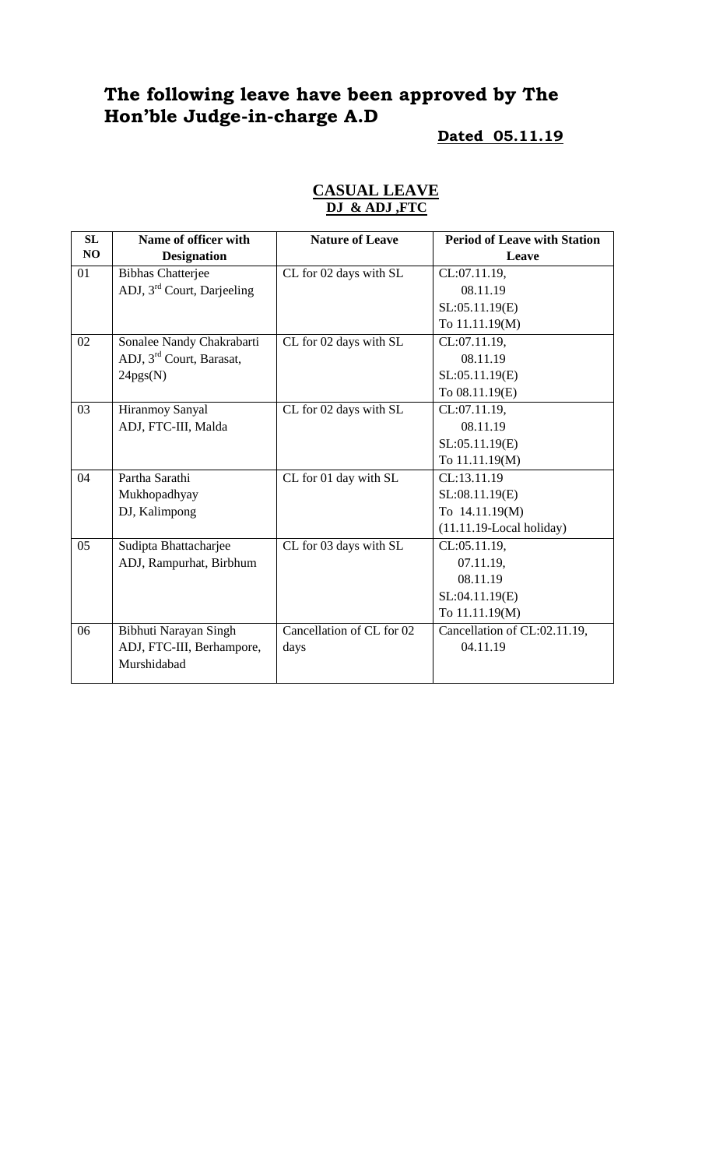# **The following leave have been approved by The Hon'ble Judge-in-charge A.D**

#### **Dated 05.11.19**

| <b>SL</b> | Name of officer with                   | <b>Nature of Leave</b>    | <b>Period of Leave with Station</b> |
|-----------|----------------------------------------|---------------------------|-------------------------------------|
| NO        | <b>Designation</b>                     |                           | Leave                               |
| 01        | <b>Bibhas Chatterjee</b>               | CL for 02 days with SL    | CL:07.11.19,                        |
|           | ADJ, 3 <sup>rd</sup> Court, Darjeeling |                           | 08.11.19                            |
|           |                                        |                           | SL:05.11.19(E)                      |
|           |                                        |                           | To 11.11.19(M)                      |
| 02        | Sonalee Nandy Chakrabarti              | CL for 02 days with SL    | CL:07.11.19,                        |
|           | ADJ, 3 <sup>rd</sup> Court, Barasat,   |                           | 08.11.19                            |
|           | 24pgs(N)                               |                           | SL:05.11.19(E)                      |
|           |                                        |                           | To 08.11.19(E)                      |
| 03        | Hiranmoy Sanyal                        | CL for 02 days with SL    | CL:07.11.19,                        |
|           | ADJ, FTC-III, Malda                    |                           | 08.11.19                            |
|           |                                        |                           | SL:05.11.19(E)                      |
|           |                                        |                           | To 11.11.19(M)                      |
| 04        | Partha Sarathi                         | CL for 01 day with SL     | CL:13.11.19                         |
|           | Mukhopadhyay                           |                           | SL:08.11.19(E)                      |
|           | DJ, Kalimpong                          |                           | To 14.11.19(M)                      |
|           |                                        |                           | $(11.11.19$ -Local holiday)         |
| 05        | Sudipta Bhattacharjee                  | CL for 03 days with SL    | CL:05.11.19,                        |
|           | ADJ, Rampurhat, Birbhum                |                           | 07.11.19,                           |
|           |                                        |                           | 08.11.19                            |
|           |                                        |                           | SL:04.11.19(E)                      |
|           |                                        |                           | To 11.11.19(M)                      |
| 06        | Bibhuti Narayan Singh                  | Cancellation of CL for 02 | Cancellation of CL:02.11.19,        |
|           | ADJ, FTC-III, Berhampore,              | days                      | 04.11.19                            |
|           | Murshidabad                            |                           |                                     |
|           |                                        |                           |                                     |

### **CASUAL LEAVE DJ & ADJ ,FTC**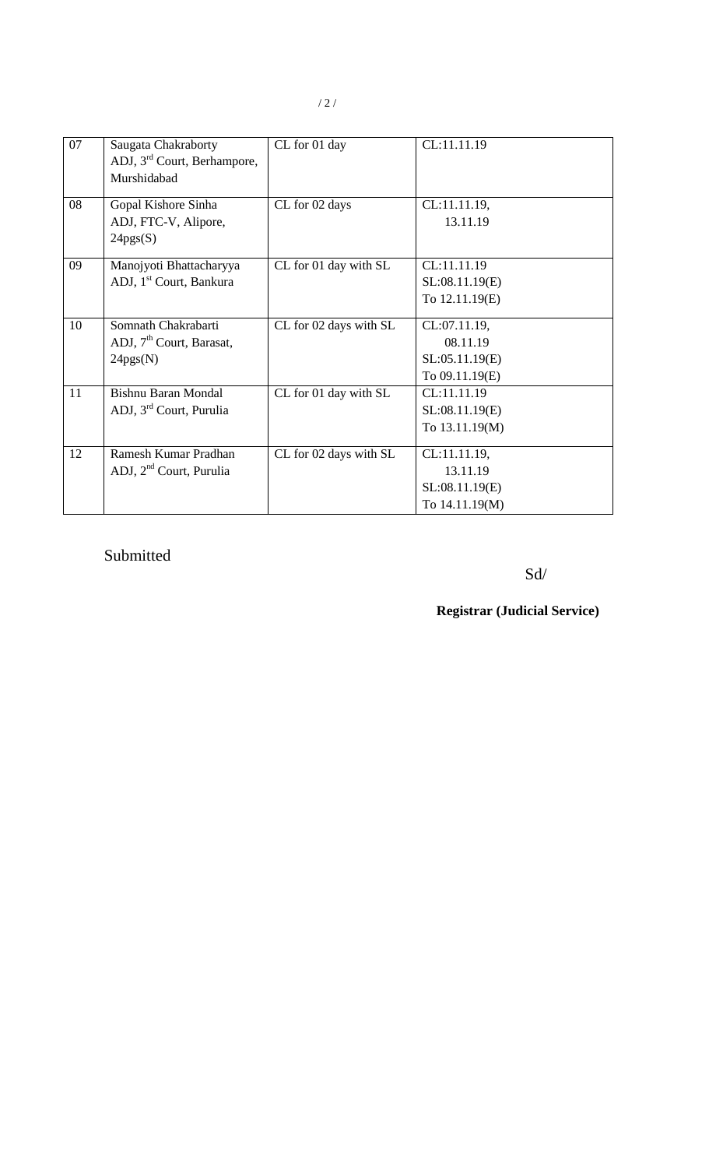| 07 | Saugata Chakraborty<br>ADJ, 3 <sup>rd</sup> Court, Berhampore,<br>Murshidabad | CL for 01 day          | CL:11.11.19                                                  |
|----|-------------------------------------------------------------------------------|------------------------|--------------------------------------------------------------|
| 08 | Gopal Kishore Sinha<br>ADJ, FTC-V, Alipore,<br>24pgs(S)                       | CL for 02 days         | CL:11.11.19,<br>13.11.19                                     |
| 09 | Manojyoti Bhattacharyya<br>ADJ, 1 <sup>st</sup> Court, Bankura                | CL for 01 day with SL  | CL:11.11.19<br>SL:08.11.19(E)<br>To 12.11.19(E)              |
| 10 | Somnath Chakrabarti<br>ADJ, 7 <sup>th</sup> Court, Barasat,<br>24pgs(N)       | CL for 02 days with SL | CL:07.11.19,<br>08.11.19<br>SL:05.11.19(E)<br>To 09.11.19(E) |
| 11 | <b>Bishnu Baran Mondal</b><br>ADJ, 3 <sup>rd</sup> Court, Purulia             | CL for 01 day with SL  | CL:11.11.19<br>SL:08.11.19(E)<br>To 13.11.19(M)              |
| 12 | Ramesh Kumar Pradhan<br>ADJ, 2 <sup>nd</sup> Court, Purulia                   | CL for 02 days with SL | CL:11.11.19,<br>13.11.19<br>SL:08.11.19(E)<br>To 14.11.19(M) |

## Submitted

### Sd/

### **Registrar (Judicial Service)**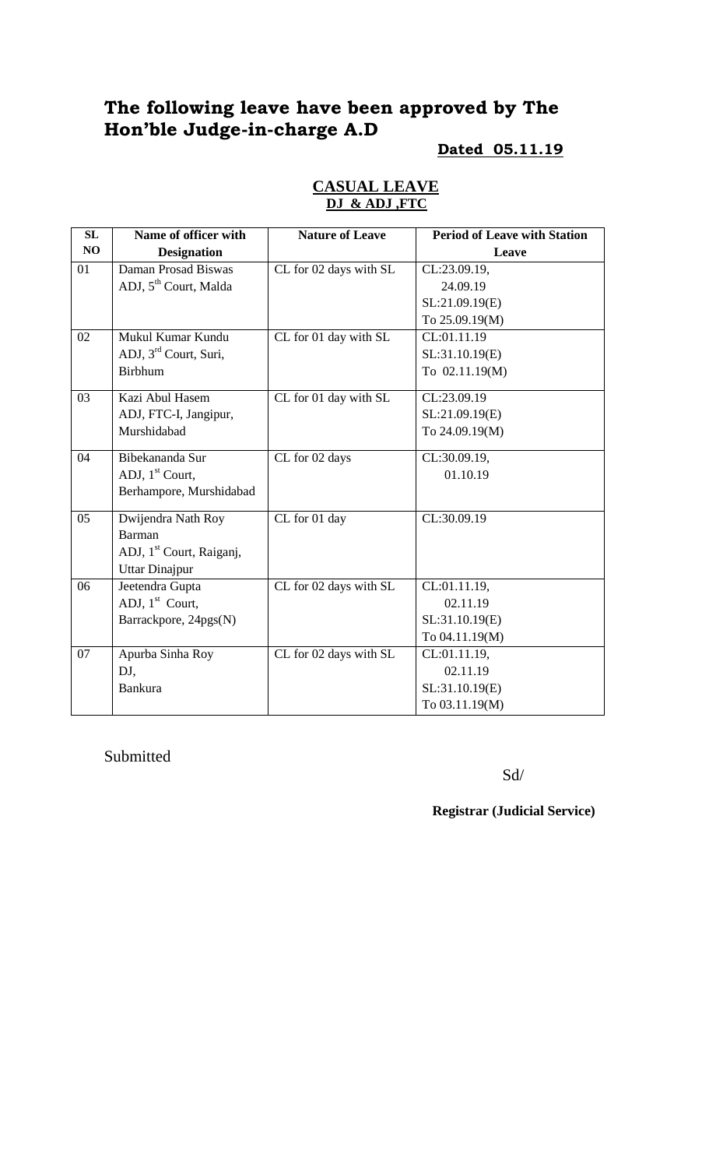# **The following leave have been approved by The Hon'ble Judge-in-charge A.D**

#### **Dated 05.11.19**

| SL | Name of officer with                 | <b>Nature of Leave</b> | <b>Period of Leave with Station</b> |
|----|--------------------------------------|------------------------|-------------------------------------|
| NO | <b>Designation</b>                   |                        | Leave                               |
| 01 | Daman Prosad Biswas                  | CL for 02 days with SL | CL:23.09.19,                        |
|    | ADJ, 5 <sup>th</sup> Court, Malda    |                        | 24.09.19                            |
|    |                                      |                        | SL:21.09.19(E)                      |
|    |                                      |                        | To 25.09.19(M)                      |
| 02 | Mukul Kumar Kundu                    | CL for 01 day with SL  | $\overline{\text{CL}}:01.11.19$     |
|    | ADJ, 3 <sup>rd</sup> Court, Suri,    |                        | SL:31.10.19(E)                      |
|    | <b>Birbhum</b>                       |                        | To 02.11.19(M)                      |
| 03 | Kazi Abul Hasem                      | CL for 01 day with SL  | CL:23.09.19                         |
|    | ADJ, FTC-I, Jangipur,                |                        | SL:21.09.19(E)                      |
|    | Murshidabad                          |                        | To 24.09.19(M)                      |
| 04 | Bibekananda Sur                      | CL for 02 days         | CL:30.09.19,                        |
|    | ADJ, 1 <sup>st</sup> Court,          |                        | 01.10.19                            |
|    | Berhampore, Murshidabad              |                        |                                     |
| 05 | Dwijendra Nath Roy                   | CL for 01 day          | CL:30.09.19                         |
|    | <b>Barman</b>                        |                        |                                     |
|    | ADJ, 1 <sup>st</sup> Court, Raiganj, |                        |                                     |
|    | <b>Uttar Dinajpur</b>                |                        |                                     |
| 06 | Jeetendra Gupta                      | CL for 02 days with SL | CL:01.11.19,                        |
|    | ADJ, 1 <sup>st</sup> Court,          |                        | 02.11.19                            |
|    | Barrackpore, 24pgs(N)                |                        | SL:31.10.19(E)                      |
|    |                                      |                        | To 04.11.19(M)                      |
| 07 | Apurba Sinha Roy                     | CL for 02 days with SL | CL:01.11.19,                        |
|    | DJ,                                  |                        | 02.11.19                            |
|    | <b>Bankura</b>                       |                        | SL:31.10.19(E)                      |
|    |                                      |                        | To 03.11.19(M)                      |

#### **CASUAL LEAVE DJ & ADJ ,FTC**

Submitted

Sd/

**Registrar (Judicial Service)**